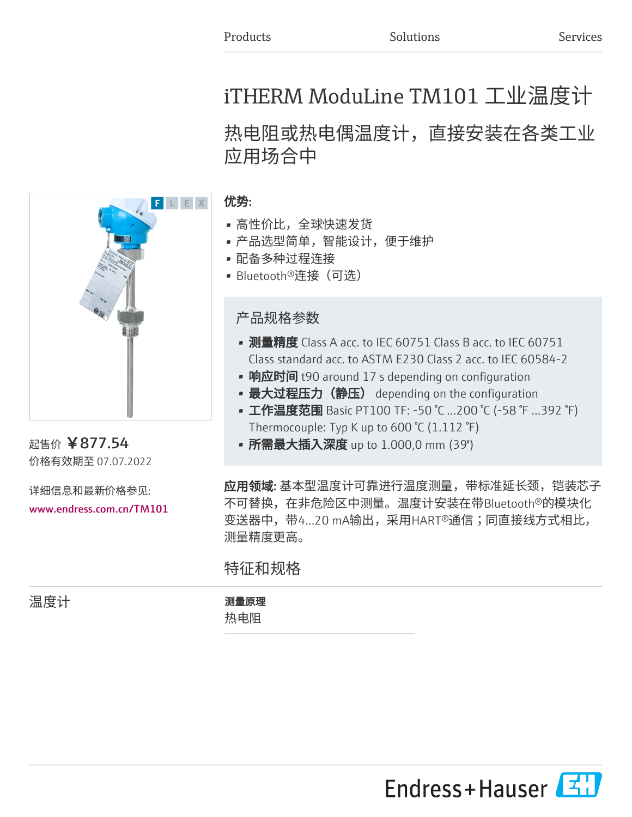# iTHERM ModuLine TM101 工业温度计

# 热电阻或热电偶温度计,直接安装在各类工业 应用场合中



起售价 ¥877.54 价格有效期至 07.07.2022

详细信息和最新价格参见: [www.endress.com.cn/TM101](https://www.endress.com.cn/TM101)

### 优势:

- 高性价比,全球快速发货
- 产品选型简单,智能设计,便于维护
- 配备多种过程连接
- Bluetooth®连接(可选)

产品规格参数

- 测量精度 Class A acc. to IEC 60751 Class B acc. to IEC 60751 Class standard acc. to ASTM E230 Class 2 acc. to IEC 60584-2
- 响应时间 t90 around 17 s depending on configuration
- 最大过程压力(静压) depending on the configuration
- 工作温度范围 Basic PT100 TF: -50 ℃ ...200 ℃ (-58 ℉ ...392 ℉) Thermocouple: Typ K up to 600 °C (1.112 °F)
- 所需最大插入深度 up to 1.000,0 mm (39'')

**应用领域:** 基本型温度计可靠进行温度测量,带标准延长颈,铠装芯子 不可替换,在非危险区中测量。温度计安装在带Bluetooth®的模块化 变送器中,带4...20 mA输出,采用HART®通信;同直接线方式相比, 测量精度更高。

特征和规格

温度计 测量原理 热电阻

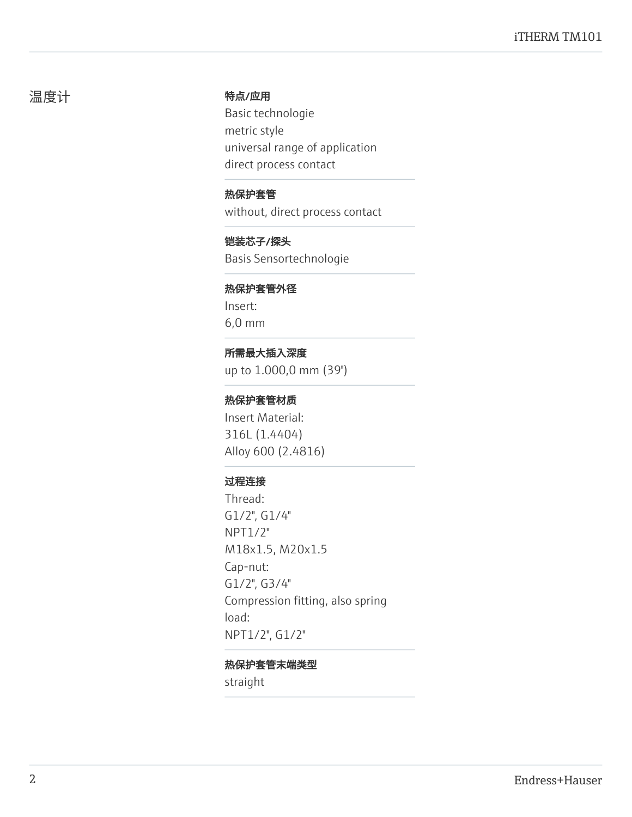#### 温度计 きょうしゃ 特点/应用

Basic technologie metric style universal range of application direct process contact

热保护套管 without, direct process contact

铠装芯子/探头 Basis Sensortechnologie

#### 热保护套管外径

Insert: 6,0 mm

## 所需最大插入深度

up to 1.000,0 mm (39'')

#### 热保护套管材质

Insert Material: 316L (1.4404) Alloy 600 (2.4816)

#### 过程连接

Thread: G1/2", G1/4" NPT1/2" M18x1.5, M20x1.5 Cap-nut: G1/2", G3/4" Compression fitting, also spring load: NPT1/2", G1/2"

#### 热保护套管末端类型

straight